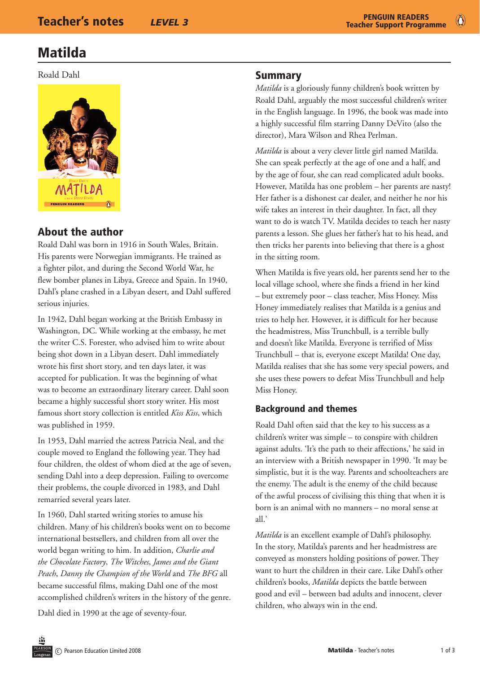## Matilda

Roald Dahl



## About the author

Roald Dahl was born in 1916 in South Wales, Britain. His parents were Norwegian immigrants. He trained as a fighter pilot, and during the Second World War, he flew bomber planes in Libya, Greece and Spain. In 1940, Dahl's plane crashed in a Libyan desert, and Dahl suffered serious injuries.

In 1942, Dahl began working at the British Embassy in Washington, DC. While working at the embassy, he met the writer C.S. Forester, who advised him to write about being shot down in a Libyan desert. Dahl immediately wrote his first short story, and ten days later, it was accepted for publication. It was the beginning of what was to become an extraordinary literary career. Dahl soon became a highly successful short story writer. His most famous short story collection is entitled *Kiss Kiss*, which was published in 1959.

In 1953, Dahl married the actress Patricia Neal, and the couple moved to England the following year. They had four children, the oldest of whom died at the age of seven, sending Dahl into a deep depression. Failing to overcome their problems, the couple divorced in 1983, and Dahl remarried several years later.

In 1960, Dahl started writing stories to amuse his children. Many of his children's books went on to become international bestsellers, and children from all over the world began writing to him. In addition, *Charlie and the Chocolate Factory*, *The Witches*, *James and the Giant Peach*, *Danny the Champion of the World* and *The BFG* all became successful films, making Dahl one of the most accomplished children's writers in the history of the genre.

Dahl died in 1990 at the age of seventy-four.

### Summary

*Matilda* is a gloriously funny children's book written by Roald Dahl, arguably the most successful children's writer in the English language. In 1996, the book was made into a highly successful film starring Danny DeVito (also the director), Mara Wilson and Rhea Perlman.

*Matilda* is about a very clever little girl named Matilda. She can speak perfectly at the age of one and a half, and by the age of four, she can read complicated adult books. However, Matilda has one problem – her parents are nasty! Her father is a dishonest car dealer, and neither he nor his wife takes an interest in their daughter. In fact, all they want to do is watch TV. Matilda decides to teach her nasty parents a lesson. She glues her father's hat to his head, and then tricks her parents into believing that there is a ghost in the sitting room.

When Matilda is five years old, her parents send her to the local village school, where she finds a friend in her kind – but extremely poor – class teacher, Miss Honey. Miss Honey immediately realises that Matilda is a genius and tries to help her. However, it is difficult for her because the headmistress, Miss Trunchbull, is a terrible bully and doesn't like Matilda. Everyone is terrified of Miss Trunchbull – that is, everyone except Matilda! One day, Matilda realises that she has some very special powers, and she uses these powers to defeat Miss Trunchbull and help Miss Honey.

### Background and themes

Roald Dahl often said that the key to his success as a children's writer was simple – to conspire with children against adults. 'It's the path to their affections,' he said in an interview with a British newspaper in 1990. 'It may be simplistic, but it is the way. Parents and schoolteachers are the enemy. The adult is the enemy of the child because of the awful process of civilising this thing that when it is born is an animal with no manners – no moral sense at all.'

*Matilda* is an excellent example of Dahl's philosophy. In the story, Matilda's parents and her headmistress are conveyed as monsters holding positions of power. They want to hurt the children in their care. Like Dahl's other children's books, *Matilda* depicts the battle between good and evil – between bad adults and innocent, clever children, who always win in the end.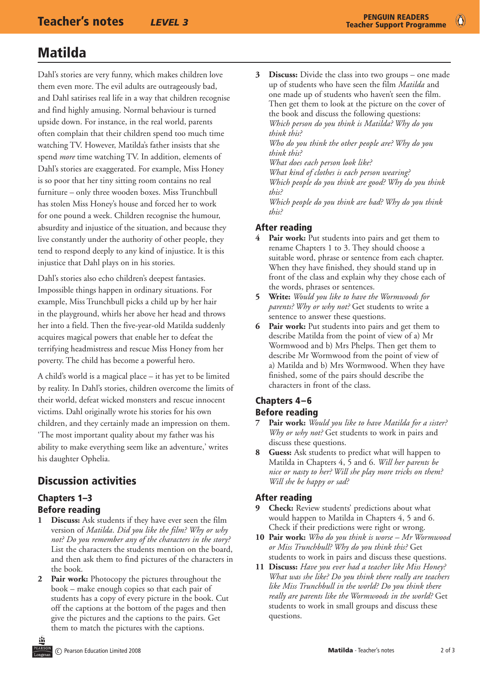# Matilda

Dahl's stories are very funny, which makes children love them even more. The evil adults are outrageously bad, and Dahl satirises real life in a way that children recognise and find highly amusing. Normal behaviour is turned upside down. For instance, in the real world, parents often complain that their children spend too much time watching TV. However, Matilda's father insists that she spend *more* time watching TV. In addition, elements of Dahl's stories are exaggerated. For example, Miss Honey is so poor that her tiny sitting room contains no real furniture – only three wooden boxes. Miss Trunchbull has stolen Miss Honey's house and forced her to work for one pound a week. Children recognise the humour, absurdity and injustice of the situation, and because they live constantly under the authority of other people, they tend to respond deeply to any kind of injustice. It is this injustice that Dahl plays on in his stories.

Dahl's stories also echo children's deepest fantasies. Impossible things happen in ordinary situations. For example, Miss Trunchbull picks a child up by her hair in the playground, whirls her above her head and throws her into a field. Then the five-year-old Matilda suddenly acquires magical powers that enable her to defeat the terrifying headmistress and rescue Miss Honey from her poverty. The child has become a powerful hero.

A child's world is a magical place – it has yet to be limited by reality. In Dahl's stories, children overcome the limits of their world, defeat wicked monsters and rescue innocent victims. Dahl originally wrote his stories for his own children, and they certainly made an impression on them. 'The most important quality about my father was his ability to make everything seem like an adventure,' writes his daughter Ophelia.

## Discussion activities

### Chapters 1–3 Before reading

- **1 Discuss:** Ask students if they have ever seen the film version of *Matilda*. *Did you like the film? Why or why not? Do you remember any of the characters in the story?* List the characters the students mention on the board, and then ask them to find pictures of the characters in the book.
- **2 Pair work:** Photocopy the pictures throughout the book – make enough copies so that each pair of students has a copy of every picture in the book. Cut off the captions at the bottom of the pages and then give the pictures and the captions to the pairs. Get them to match the pictures with the captions.

**3 Discuss:** Divide the class into two groups – one made up of students who have seen the film *Matilda* and one made up of students who haven't seen the film. Then get them to look at the picture on the cover of the book and discuss the following questions: *Which person do you think is Matilda? Why do you think this? Who do you think the other people are? Why do you think this? What does each person look like? What kind of clothes is each person wearing? Which people do you think are good? Why do you think this? Which people do you think are bad? Why do you think this?*

### After reading

- Pair work: Put students into pairs and get them to rename Chapters 1 to 3. They should choose a suitable word, phrase or sentence from each chapter. When they have finished, they should stand up in front of the class and explain why they chose each of the words, phrases or sentences.
- **5 Write:** *Would you like to have the Wormwoods for parents? Why or why not?* Get students to write a sentence to answer these questions.
- **6 Pair work:** Put students into pairs and get them to describe Matilda from the point of view of a) Mr Wormwood and b) Mrs Phelps. Then get them to describe Mr Wormwood from the point of view of a) Matilda and b) Mrs Wormwood. When they have finished, some of the pairs should describe the characters in front of the class.

### Chapters 4–6 Before reading

- **7 Pair work:** *Would you like to have Matilda for a sister? Why or why not?* Get students to work in pairs and discuss these questions.
- **8 Guess:** Ask students to predict what will happen to Matilda in Chapters 4, 5 and 6. *Will her parents be nice or nasty to her? Will she play more tricks on them? Will she be happy or sad?*

### After reading

- **9 Check:** Review students' predictions about what would happen to Matilda in Chapters 4, 5 and 6. Check if their predictions were right or wrong.
- **10 Pair work:** *Who do you think is worse Mr Wormwood or Miss Trunchbull? Why do you think this?* Get students to work in pairs and discuss these questions.
- **11 Discuss:** *Have you ever had a teacher like Miss Honey? What was she like? Do you think there really are teachers like Miss Trunchbull in the world? Do you think there really are parents like the Wormwoods in the world?* Get students to work in small groups and discuss these questions.